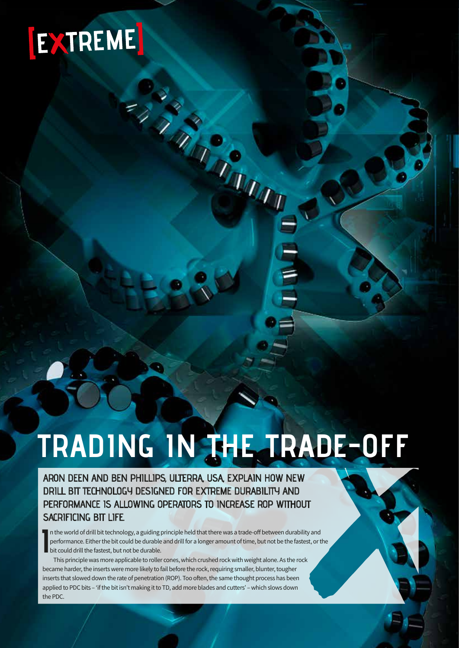## EXTREME

# **TRADING IN THE TRADE-OFF**

Case of the Case of the

ARON DEEN AND BEN PHILLIPS, ULTERRA, USA, EXPLAIN HOW NEW DRILL BIT TECHNOLOGY DESIGNED FOR EXTREME DURABILITY AND PERFORMANCE IS ALLOWING OPERATORS TO INCREASE ROP WITHOUT SACRIFICING BIT LIFE.

In the world of drill bit technology, a guiding principle held that there was a trade-off between durability and<br>performance. Either the bit could be durable and drill for a longer amount of time, but not be the fastest, o performance. Either the bit could be durable and drill for a longer amount of time, but not be the fastest, or the bit could drill the fastest, but not be durable.

This principle was more applicable to roller cones, which crushed rock with weight alone. As the rock became harder, the inserts were more likely to fail before the rock, requiring smaller, blunter, tougher inserts that slowed down the rate of penetration (ROP). Too often, the same thought process has been applied to PDC bits – 'if the bit isn't making it to TD, add more blades and cutters' – which slows down the PDC.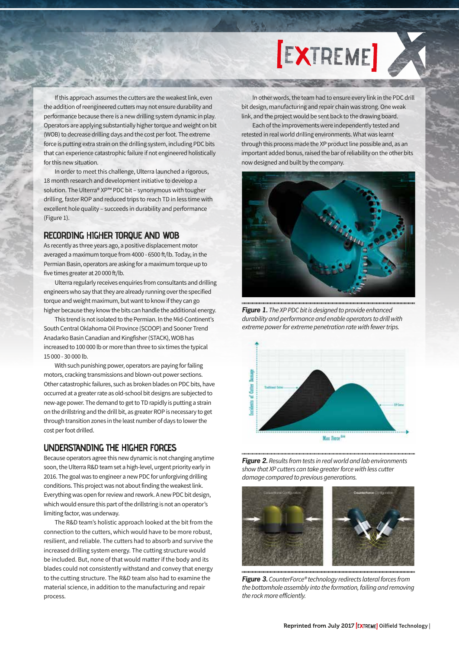### **[EXTREME]**

If this approach assumes the cutters are the weakest link, even the addition of reengineered cutters may not ensure durability and performance because there is a new drilling system dynamic in play. Operators are applying substantially higher torque and weight on bit (WOB) to decrease drilling days and the cost per foot. The extreme force is putting extra strain on the drilling system, including PDC bits that can experience catastrophic failure if not engineered holistically for this new situation.

**NAME OF BRIDE** 

In order to meet this challenge, Ulterra launched a rigorous, 18 month research and development initiative to develop a solution. The Ulterra® XP™ PDC bit – synonymous with tougher drilling, faster ROP and reduced trips to reach TD in less time with excellent hole quality – succeeds in durability and performance (Figure 1).

#### RECORDING HIGHER TORQUE AND WOB

As recently as three years ago, a positive displacement motor averaged a maximum torque from 4000 - 6500 ft/lb. Today, in the Permian Basin, operators are asking for a maximum torque up to five times greater at 20 000 ft/lb.

Ulterra regularly receives enquiries from consultants and drilling engineers who say that they are already running over the specified torque and weight maximum, but want to know if they can go higher because they know the bits can handle the additional energy.

This trend is not isolated to the Permian. In the Mid-Continent's South Central Oklahoma Oil Province (SCOOP) and Sooner Trend Anadarko Basin Canadian and Kingfisher (STACK), WOB has increased to 100 000 lb or more than three to six times the typical 15 000 - 30 000 lb.

With such punishing power, operators are paying for failing motors, cracking transmissions and blown-out power sections. Other catastrophic failures, such as broken blades on PDC bits, have occurred at a greater rate as old-school bit designs are subjected to new-age power. The demand to get to TD rapidly is putting a strain on the drillstring and the drill bit, as greater ROP is necessary to get through transition zones in the least number of days to lower the cost per foot drilled.

#### UNDERSTANDING THE HIGHER FORCES

Because operators agree this new dynamic is not changing anytime soon, the Ulterra R&D team set a high-level, urgent priority early in 2016. The goal was to engineer a new PDC for unforgiving drilling conditions. This project was not about finding the weakest link. Everything was open for review and rework. A new PDC bit design, which would ensure this part of the drillstring is not an operator's limiting factor, was underway.

The R&D team's holistic approach looked at the bit from the connection to the cutters, which would have to be more robust, resilient, and reliable. The cutters had to absorb and survive the increased drilling system energy. The cutting structure would be included. But, none of that would matter if the body and its blades could not consistently withstand and convey that energy to the cutting structure. The R&D team also had to examine the material science, in addition to the manufacturing and repair process.

In other words, the team had to ensure every link in the PDC drill bit design, manufacturing and repair chain was strong. One weak link, and the project would be sent back to the drawing board.

Each of the improvements were independently tested and retested in real world drilling environments. What was learnt through this process made the XP product line possible and, as an important added bonus, raised the bar of reliability on the other bits now designed and built by the company.



*Figure 1. The XP PDC bit is designed to provide enhanced durability and performance and enable operators to drill with extreme power for extreme penetration rate with fewer trips.*



*Figure 2. Results from tests in real world and lab environments show that XP cutters can take greater force with less cutter damage compared to previous generations.*



*Figure 3. CounterForce® technology redirects lateral forces from the bottomhole assembly into the formation, failing and removing the rock more efficiently.*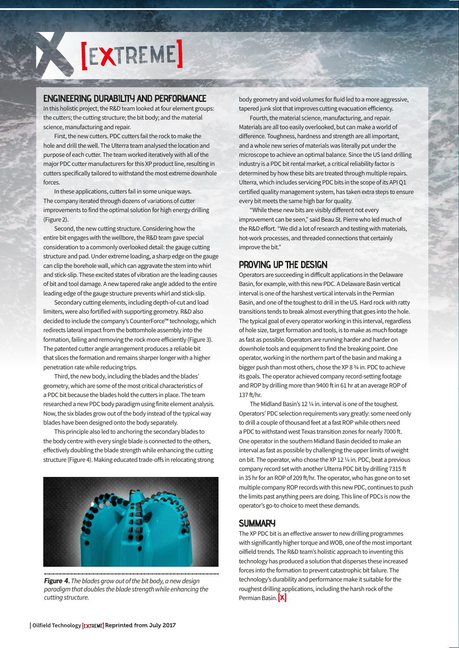

#### ENGINEERING DURABILITY AND PERFORMANCE

In this holistic project, the R&D team looked at four element groups: the cutters; the cutting structure; the bit body; and the material science, manufacturing and repair.

First, the new cutters. PDC cutters fail the rock to make the hole and drill the well. The Ulterra team analysed the location and purpose of each cutter. The team worked iteratively with all of the major PDC cutter manufacturers for this XP product line, resulting in cutters specifically tailored to withstand the most extreme downhole forces.

In these applications, cutters fail in some unique ways. The company iterated through dozens of variations of cutter improvements to find the optimal solution for high energy drilling (Figure 2).

Second, the new cutting structure. Considering how the entire bit engages with the wellbore, the R&D team gave special consideration to a commonly overlooked detail: the gauge cutting structure and pad. Under extreme loading, a sharp edge on the gauge can clip the borehole wall, which can aggravate the stem into whirl and stick-slip. These excited states of vibration are the leading causes of bit and tool damage. A new tapered rake angle added to the entire leading edge of the gauge structure prevents whirl and stick-slip.

Secondary cutting elements, including depth-of-cut and load limiters, were also fortified with supporting geometry. R&D also decided to include the company's CounterForce™ technology, which redirects lateral impact from the bottomhole assembly into the formation, failing and removing the rock more efficiently (Figure 3). The patented cutter angle arrangement produces a reliable bit that slices the formation and remains sharper longer with a higher penetration rate while reducing trips.

Third, the new body, including the blades and the blades' geometry, which are some of the most critical characteristics of a PDC bit because the blades hold the cutters in place. The team researched a new PDC body paradigm using finite element analysis. Now, the six blades grow out of the body instead of the typical way blades have been designed onto the body separately.

This principle also led to anchoring the secondary blades to the body centre with every single blade is connected to the others, effectively doubling the blade strength while enhancing the cutting structure (Figure 4). Making educated trade-offs in relocating strong



*Figure 4. The blades grow out of the bit body, a new design paradigm that doubles the blade strength while enhancing the* 

body geometry and void volumes for fluid led to a more aggressive, tapered junk slot that improves cutting evacuation efficiency.

Fourth, the material science, manufacturing, and repair. Materials are all too easily overlooked, but can make a world of difference. Toughness, hardness and strength are all important, and a whole new series of materials was literally put under the microscope to achieve an optimal balance. Since the US land drilling industry is a PDC bit rental market, a critical reliability factor is determined by how these bits are treated through multiple repairs. Ulterra, which includes servicing PDC bits in the scope of its API Q1 certified quality management system, has taken extra steps to ensure every bit meets the same high bar for quality.

"While these new bits are visibly different not every improvement can be seen," said Beau St. Pierre who led much of the R&D effort. "We did a lot of research and testing with materials, hot-work processes, and threaded connections that certainly improve the bit."

#### PROVING UP THE DESIGN

Operators are succeeding in difficult applications in the Delaware Basin, for example, with this new PDC. A Delaware Basin vertical interval is one of the harshest vertical intervals in the Permian Basin, and one of the toughest to drill in the US. Hard rock with ratty transitions tends to break almost everything that goes into the hole. The typical goal of every operator working in this interval, regardless of hole size, target formation and tools, is to make as much footage as fast as possible. Operators are running harder and harder on downhole tools and equipment to find the breaking point. One operator, working in the northern part of the basin and making a bigger push than most others, chose the XP 8 ¾ in. PDC to achieve its goals. The operator achieved company record-setting footage and ROP by drilling more than 9400 ft in 61 hr at an average ROP of 137 ft/hr.

The Midland Basin's 12 ¼ in. interval is one of the toughest. Operators' PDC selection requirements vary greatly: some need only to drill a couple of thousand feet at a fast ROP while others need a PDC to withstand west Texas transition zones for nearly 7000 ft. One operator in the southern Midland Basin decided to make an interval as fast as possible by challenging the upper limits of weight on bit. The operator, who chose the XP 12 ¼ in. PDC, beat a previous company record set with another Ulterra PDC bit by drilling 7315 ft in 35 hr for an ROP of 209 ft/hr. The operator, who has gone on to set multiple company ROP records with this new PDC, continues to push the limits past anything peers are doing. This line of PDCs is now the operator's go-to choice to meet these demands.

#### SUMMARY

The XP PDC bit is an effective answer to new drilling programmes with significantly higher torque and WOB, one of the most important oilfield trends. The R&D team's holistic approach to inventing this technology has produced a solution that disperses these increased forces into the formation to prevent catastrophic bit failure. The technology's durability and performance make it suitable for the roughest drilling applications, including the harsh rock of the Permian Basin. X **cutting structure.**<br> **Permian Basin. X**<br> **Permian Basin. X**